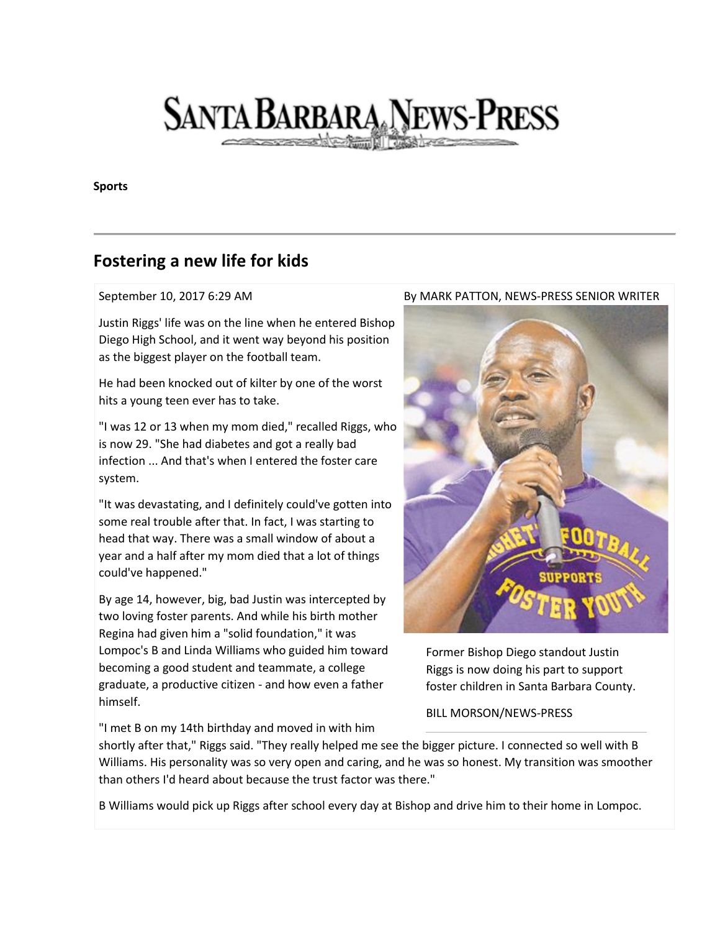## **SANTA BARBARA NEWS-PRESS**

**Sports**

## **Fostering a new life for kids**

## September 10, 2017 6:29 AM

Justin Riggs' life was on the line when he entered Bishop Diego High School, and it went way beyond his position as the biggest player on the football team.

He had been knocked out of kilter by one of the worst hits a young teen ever has to take.

"I was 12 or 13 when my mom died," recalled Riggs, who is now 29. "She had diabetes and got a really bad infection ... And that's when I entered the foster care system.

"It was devastating, and I definitely could've gotten into some real trouble after that. In fact, I was starting to head that way. There was a small window of about a year and a half after my mom died that a lot of things could've happened."

By age 14, however, big, bad Justin was intercepted by two loving foster parents. And while his birth mother Regina had given him a "solid foundation," it was Lompoc's B and Linda Williams who guided him toward becoming a good student and teammate, a college graduate, a productive citizen - and how even a father himself.

"I met B on my 14th birthday and moved in with him

shortly after that," Riggs said. "They really helped me see the bigger picture. I connected so well with B Williams. His personality was so very open and caring, and he was so honest. My transition was smoother than others I'd heard about because the trust factor was there."

B Williams would pick up Riggs after school every day at Bishop and drive him to their home in Lompoc.

## By MARK PATTON, NEWS-PRESS SENIOR WRITER



Former Bishop Diego standout Justin Riggs is now doing his part to support foster children in Santa Barbara County.

BILL MORSON/NEWS-PRESS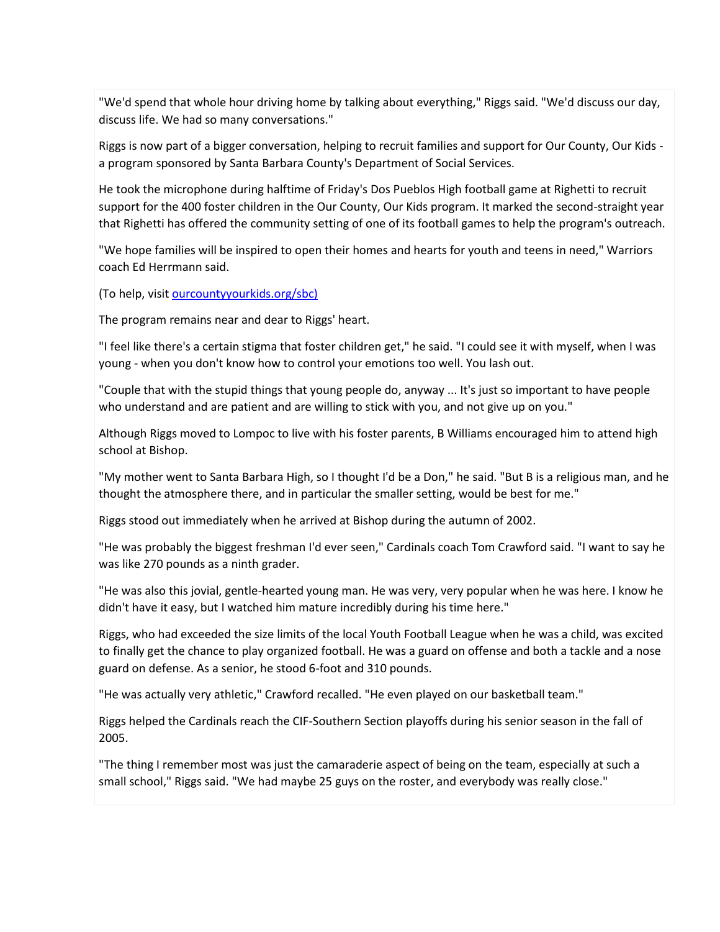"We'd spend that whole hour driving home by talking about everything," Riggs said. "We'd discuss our day, discuss life. We had so many conversations."

Riggs is now part of a bigger conversation, helping to recruit families and support for Our County, Our Kids a program sponsored by Santa Barbara County's Department of Social Services.

He took the microphone during halftime of Friday's Dos Pueblos High football game at Righetti to recruit support for the 400 foster children in the Our County, Our Kids program. It marked the second-straight year that Righetti has offered the community setting of one of its football games to help the program's outreach.

"We hope families will be inspired to open their homes and hearts for youth and teens in need," Warriors coach Ed Herrmann said.

(To help, visit [ourcountyyourkids.org/sbc\)](http://ourcountyyourkids.org/sbc))

The program remains near and dear to Riggs' heart.

"I feel like there's a certain stigma that foster children get," he said. "I could see it with myself, when I was young - when you don't know how to control your emotions too well. You lash out.

"Couple that with the stupid things that young people do, anyway ... It's just so important to have people who understand and are patient and are willing to stick with you, and not give up on you."

Although Riggs moved to Lompoc to live with his foster parents, B Williams encouraged him to attend high school at Bishop.

"My mother went to Santa Barbara High, so I thought I'd be a Don," he said. "But B is a religious man, and he thought the atmosphere there, and in particular the smaller setting, would be best for me."

Riggs stood out immediately when he arrived at Bishop during the autumn of 2002.

"He was probably the biggest freshman I'd ever seen," Cardinals coach Tom Crawford said. "I want to say he was like 270 pounds as a ninth grader.

"He was also this jovial, gentle-hearted young man. He was very, very popular when he was here. I know he didn't have it easy, but I watched him mature incredibly during his time here."

Riggs, who had exceeded the size limits of the local Youth Football League when he was a child, was excited to finally get the chance to play organized football. He was a guard on offense and both a tackle and a nose guard on defense. As a senior, he stood 6-foot and 310 pounds.

"He was actually very athletic," Crawford recalled. "He even played on our basketball team."

Riggs helped the Cardinals reach the CIF-Southern Section playoffs during his senior season in the fall of 2005.

"The thing I remember most was just the camaraderie aspect of being on the team, especially at such a small school," Riggs said. "We had maybe 25 guys on the roster, and everybody was really close."